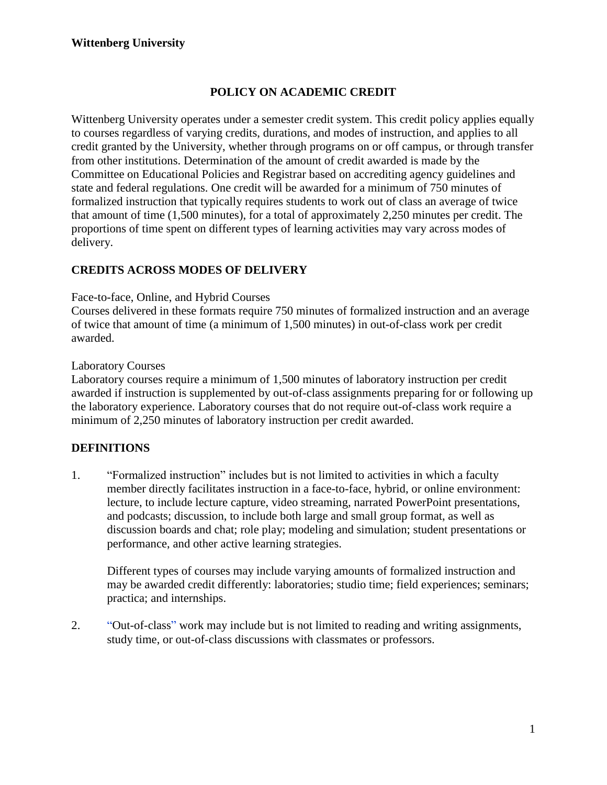# **POLICY ON ACADEMIC CREDIT**

Wittenberg University operates under a semester credit system. This credit policy applies equally to courses regardless of varying credits, durations, and modes of instruction, and applies to all credit granted by the University, whether through programs on or off campus, or through transfer from other institutions. Determination of the amount of credit awarded is made by the Committee on Educational Policies and Registrar based on accrediting agency guidelines and state and federal regulations. One credit will be awarded for a minimum of 750 minutes of formalized instruction that typically requires students to work out of class an average of twice that amount of time (1,500 minutes), for a total of approximately 2,250 minutes per credit. The proportions of time spent on different types of learning activities may vary across modes of delivery.

## **CREDITS ACROSS MODES OF DELIVERY**

Face-to-face, Online, and Hybrid Courses

Courses delivered in these formats require 750 minutes of formalized instruction and an average of twice that amount of time (a minimum of 1,500 minutes) in out-of-class work per credit awarded.

#### Laboratory Courses

Laboratory courses require a minimum of 1,500 minutes of laboratory instruction per credit awarded if instruction is supplemented by out-of-class assignments preparing for or following up the laboratory experience. Laboratory courses that do not require out-of-class work require a minimum of 2,250 minutes of laboratory instruction per credit awarded.

#### **DEFINITIONS**

1. "Formalized instruction" includes but is not limited to activities in which a faculty member directly facilitates instruction in a face-to-face, hybrid, or online environment: lecture, to include lecture capture, video streaming, narrated PowerPoint presentations, and podcasts; discussion, to include both large and small group format, as well as discussion boards and chat; role play; modeling and simulation; student presentations or performance, and other active learning strategies.

Different types of courses may include varying amounts of formalized instruction and may be awarded credit differently: laboratories; studio time; field experiences; seminars; practica; and internships.

2. "Out-of-class" work may include but is not limited to reading and writing assignments, study time, or out-of-class discussions with classmates or professors.